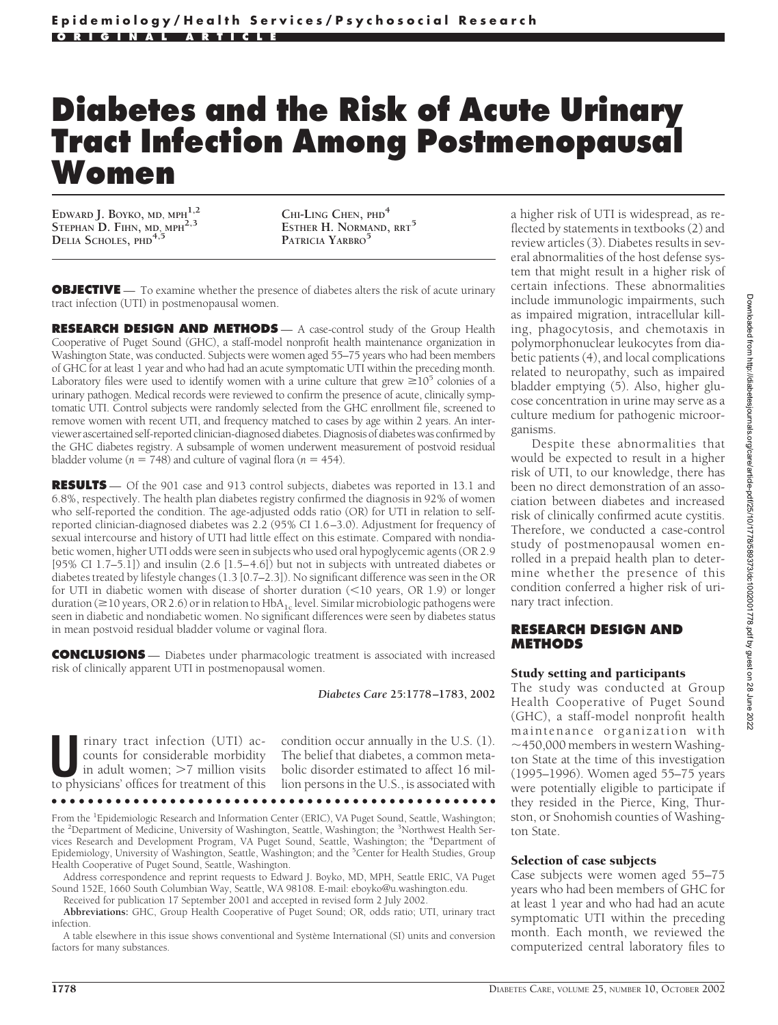# **Diabetes and the Risk of Acute Urinary Tract Infection Among Postmenopausal Women**

**EDWARD J. BOYKO, MD, MPH1,2 STEPHAN D. FIHN, MD, MPH2,3 DELIA SCHOLES, PHD4,5**

**CHI-LING CHEN, PHD<sup>4</sup> ESTHER H. NORMAND, RRT<sup>5</sup> PATRICIA YARBRO<sup>5</sup>**

**OBJECTIVE** — To examine whether the presence of diabetes alters the risk of acute urinary tract infection (UTI) in postmenopausal women.

**RESEARCH DESIGN AND METHODS** — A case-control study of the Group Health Cooperative of Puget Sound (GHC), a staff-model nonprofit health maintenance organization in Washington State, was conducted. Subjects were women aged 55–75 years who had been members of GHC for at least 1 year and who had had an acute symptomatic UTI within the preceding month. Laboratory files were used to identify women with a urine culture that grew  $\geq 10^5$  colonies of a urinary pathogen. Medical records were reviewed to confirm the presence of acute, clinically symptomatic UTI. Control subjects were randomly selected from the GHC enrollment file, screened to remove women with recent UTI, and frequency matched to cases by age within 2 years. An interviewer ascertained self-reported clinician-diagnosed diabetes. Diagnosis of diabetes was confirmed by the GHC diabetes registry. A subsample of women underwent measurement of postvoid residual bladder volume ( $n = 748$ ) and culture of vaginal flora ( $n = 454$ ).

**RESULTS** — Of the 901 case and 913 control subjects, diabetes was reported in 13.1 and 6.8%, respectively. The health plan diabetes registry confirmed the diagnosis in 92% of women who self-reported the condition. The age-adjusted odds ratio (OR) for UTI in relation to selfreported clinician-diagnosed diabetes was 2.2 (95% CI 1.6–3.0). Adjustment for frequency of sexual intercourse and history of UTI had little effect on this estimate. Compared with nondiabetic women, higher UTI odds were seen in subjects who used oral hypoglycemic agents (OR 2.9 [95% CI 1.7–5.1]) and insulin (2.6 [1.5–4.6]) but not in subjects with untreated diabetes or diabetes treated by lifestyle changes (1.3 [0.7–2.3]). No significant difference was seen in the OR for UTI in diabetic women with disease of shorter duration  $(< 10$  years, OR 1.9) or longer duration ( $\geq$  10 years, OR 2.6) or in relation to HbA<sub>1c</sub> level. Similar microbiologic pathogens were seen in diabetic and nondiabetic women. No significant differences were seen by diabetes status in mean postvoid residual bladder volume or vaginal flora.

**CONCLUSIONS** — Diabetes under pharmacologic treatment is associated with increased risk of clinically apparent UTI in postmenopausal women.

*Diabetes Care* **25:1778–1783, 2002**

rinary tract infection (UTI) accounts for considerable morbidity<br>in adult women; >7 million visits<br>to physicians' offices for treatment of this counts for considerable morbidity in adult women;  $>7$  million visits to physicians' offices for treatment of this ●●●●●●●●●●●●●●●●●●●●●●●●●●●●●●●●●●●●●●●●●●●●●●●●●

condition occur annually in the U.S. (1). The belief that diabetes, a common metabolic disorder estimated to affect 16 million persons in the U.S., is associated with

From the <sup>1</sup>Epidemiologic Research and Information Center (ERIC), VA Puget Sound, Seattle, Washington; the <sup>2</sup>Department of Medicine, University of Washington, Seattle, Washington; the <sup>3</sup>Northwest Health Services Research and Development Program, VA Puget Sound, Seattle, Washington; the <sup>4</sup>Department of

Epidemiology, University of Washington, Seattle, Washington; and the <sup>5</sup>Center for Health Studies, Group Health Cooperative of Puget Sound, Seattle, Washington.

Address correspondence and reprint requests to Edward J. Boyko, MD, MPH, Seattle ERIC, VA Puget Sound 152E, 1660 South Columbian Way, Seattle, WA 98108. E-mail: eboyko@u.washington.edu.

Received for publication 17 September 2001 and accepted in revised form 2 July 2002.

**Abbreviations:** GHC, Group Health Cooperative of Puget Sound; OR, odds ratio; UTI, urinary tract infection.

A table elsewhere in this issue shows conventional and Système International (SI) units and conversion factors for many substances

a higher risk of UTI is widespread, as reflected by statements in textbooks (2) and review articles (3). Diabetes results in several abnormalities of the host defense system that might result in a higher risk of certain infections. These abnormalities include immunologic impairments, such as impaired migration, intracellular killing, phagocytosis, and chemotaxis in polymorphonuclear leukocytes from diabetic patients (4), and local complications related to neuropathy, such as impaired bladder emptying (5). Also, higher glucose concentration in urine may serve as a culture medium for pathogenic microorganisms.

Despite these abnormalities that would be expected to result in a higher risk of UTI, to our knowledge, there has been no direct demonstration of an association between diabetes and increased risk of clinically confirmed acute cystitis. Therefore, we conducted a case-control study of postmenopausal women enrolled in a prepaid health plan to determine whether the presence of this condition conferred a higher risk of urinary tract infection.

## **RESEARCH DESIGN AND METHODS**

### Study setting and participants

The study was conducted at Group Health Cooperative of Puget Sound (GHC), a staff-model nonprofit health maintenance organization with  $\sim$ 450,000 members in western Washington State at the time of this investigation (1995–1996). Women aged 55–75 years were potentially eligible to participate if they resided in the Pierce, King, Thurston, or Snohomish counties of Washington State.

#### Selection of case subjects

Case subjects were women aged 55–75 years who had been members of GHC for at least 1 year and who had had an acute symptomatic UTI within the preceding month. Each month, we reviewed the computerized central laboratory files to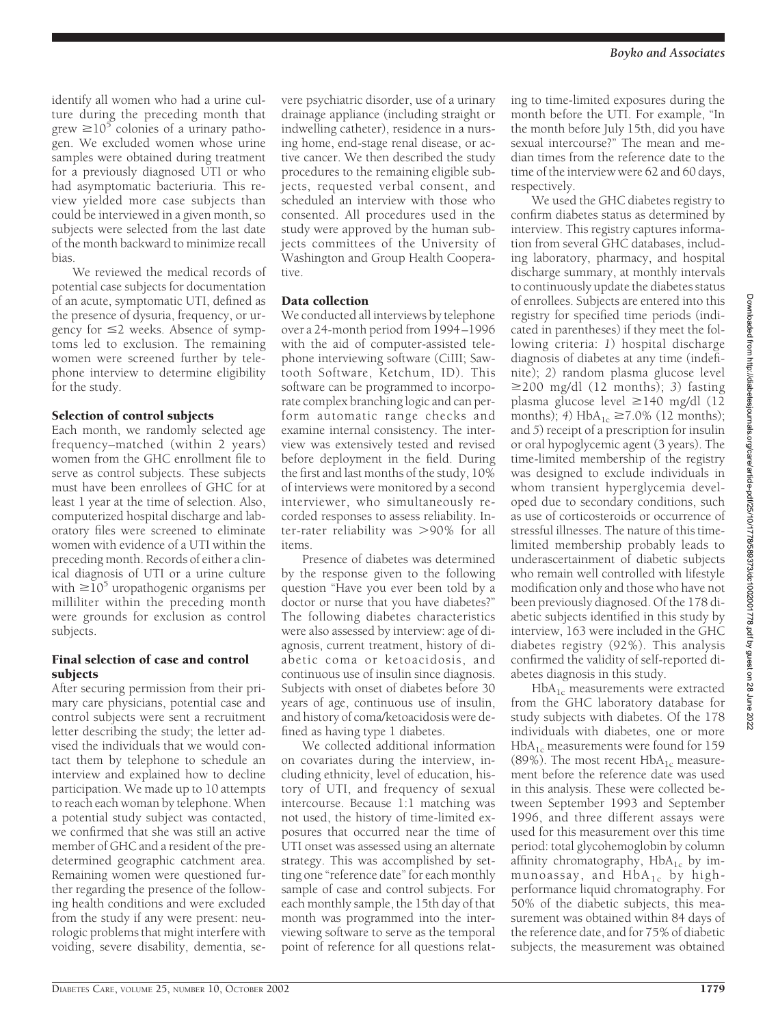identify all women who had a urine culture during the preceding month that grew  $\geq 10^5$  colonies of a urinary pathogen. We excluded women whose urine samples were obtained during treatment for a previously diagnosed UTI or who had asymptomatic bacteriuria. This review yielded more case subjects than could be interviewed in a given month, so subjects were selected from the last date of the month backward to minimize recall bias.

We reviewed the medical records of potential case subjects for documentation of an acute, symptomatic UTI, defined as the presence of dysuria, frequency, or urgency for  $\leq$ 2 weeks. Absence of symptoms led to exclusion. The remaining women were screened further by telephone interview to determine eligibility for the study.

# Selection of control subjects

Each month, we randomly selected age frequency–matched (within 2 years) women from the GHC enrollment file to serve as control subjects. These subjects must have been enrollees of GHC for at least 1 year at the time of selection. Also, computerized hospital discharge and laboratory files were screened to eliminate women with evidence of a UTI within the preceding month. Records of either a clinical diagnosis of UTI or a urine culture with  $\geq 10^5$  uropathogenic organisms per milliliter within the preceding month were grounds for exclusion as control subjects.

## Final selection of case and control subjects

After securing permission from their primary care physicians, potential case and control subjects were sent a recruitment letter describing the study; the letter advised the individuals that we would contact them by telephone to schedule an interview and explained how to decline participation. We made up to 10 attempts to reach each woman by telephone. When a potential study subject was contacted, we confirmed that she was still an active member of GHC and a resident of the predetermined geographic catchment area. Remaining women were questioned further regarding the presence of the following health conditions and were excluded from the study if any were present: neurologic problems that might interfere with voiding, severe disability, dementia, severe psychiatric disorder, use of a urinary drainage appliance (including straight or indwelling catheter), residence in a nursing home, end-stage renal disease, or active cancer. We then described the study procedures to the remaining eligible subjects, requested verbal consent, and scheduled an interview with those who consented. All procedures used in the study were approved by the human subjects committees of the University of Washington and Group Health Cooperative.

# Data collection

We conducted all interviews by telephone over a 24-month period from 1994–1996 with the aid of computer-assisted telephone interviewing software (CiIII; Sawtooth Software, Ketchum, ID). This software can be programmed to incorporate complex branching logic and can perform automatic range checks and examine internal consistency. The interview was extensively tested and revised before deployment in the field. During the first and last months of the study, 10% of interviews were monitored by a second interviewer, who simultaneously recorded responses to assess reliability. Inter-rater reliability was  $>90\%$  for all items.

Presence of diabetes was determined by the response given to the following question "Have you ever been told by a doctor or nurse that you have diabetes?" The following diabetes characteristics were also assessed by interview: age of diagnosis, current treatment, history of diabetic coma or ketoacidosis, and continuous use of insulin since diagnosis. Subjects with onset of diabetes before 30 years of age, continuous use of insulin, and history of coma/ketoacidosis were defined as having type 1 diabetes.

We collected additional information on covariates during the interview, including ethnicity, level of education, history of UTI, and frequency of sexual intercourse. Because 1:1 matching was not used, the history of time-limited exposures that occurred near the time of UTI onset was assessed using an alternate strategy. This was accomplished by setting one "reference date" for each monthly sample of case and control subjects. For each monthly sample, the 15th day of that month was programmed into the interviewing software to serve as the temporal point of reference for all questions relat-

ing to time-limited exposures during the month before the UTI. For example, "In the month before July 15th, did you have sexual intercourse?" The mean and median times from the reference date to the time of the interview were 62 and 60 days, respectively.

We used the GHC diabetes registry to confirm diabetes status as determined by interview. This registry captures information from several GHC databases, including laboratory, pharmacy, and hospital discharge summary, at monthly intervals to continuously update the diabetes status of enrollees. Subjects are entered into this registry for specified time periods (indicated in parentheses) if they meet the following criteria: *1*) hospital discharge diagnosis of diabetes at any time (indefinite); *2*) random plasma glucose level  $\geq$ 200 mg/dl (12 months); 3) fasting plasma glucose level  $\geq$ 140 mg/dl (12 months); 4)  $HbA_{1c} \ge 7.0\%$  (12 months); and *5*) receipt of a prescription for insulin or oral hypoglycemic agent (3 years). The time-limited membership of the registry was designed to exclude individuals in whom transient hyperglycemia developed due to secondary conditions, such as use of corticosteroids or occurrence of stressful illnesses. The nature of this timelimited membership probably leads to underascertainment of diabetic subjects who remain well controlled with lifestyle modification only and those who have not been previously diagnosed. Of the 178 diabetic subjects identified in this study by interview, 163 were included in the GHC diabetes registry (92%). This analysis confirmed the validity of self-reported diabetes diagnosis in this study.

 $HbA_{1c}$  measurements were extracted from the GHC laboratory database for study subjects with diabetes. Of the 178 individuals with diabetes, one or more  $HbA_{1c}$  measurements were found for 159 (89%). The most recent  $HbA_{1c}$  measurement before the reference date was used in this analysis. These were collected between September 1993 and September 1996, and three different assays were used for this measurement over this time period: total glycohemoglobin by column affinity chromatography,  $HbA_{1c}$  by immunoassay, and  $HbA_{1c}$  by highperformance liquid chromatography. For 50% of the diabetic subjects, this measurement was obtained within 84 days of the reference date, and for 75% of diabetic subjects, the measurement was obtained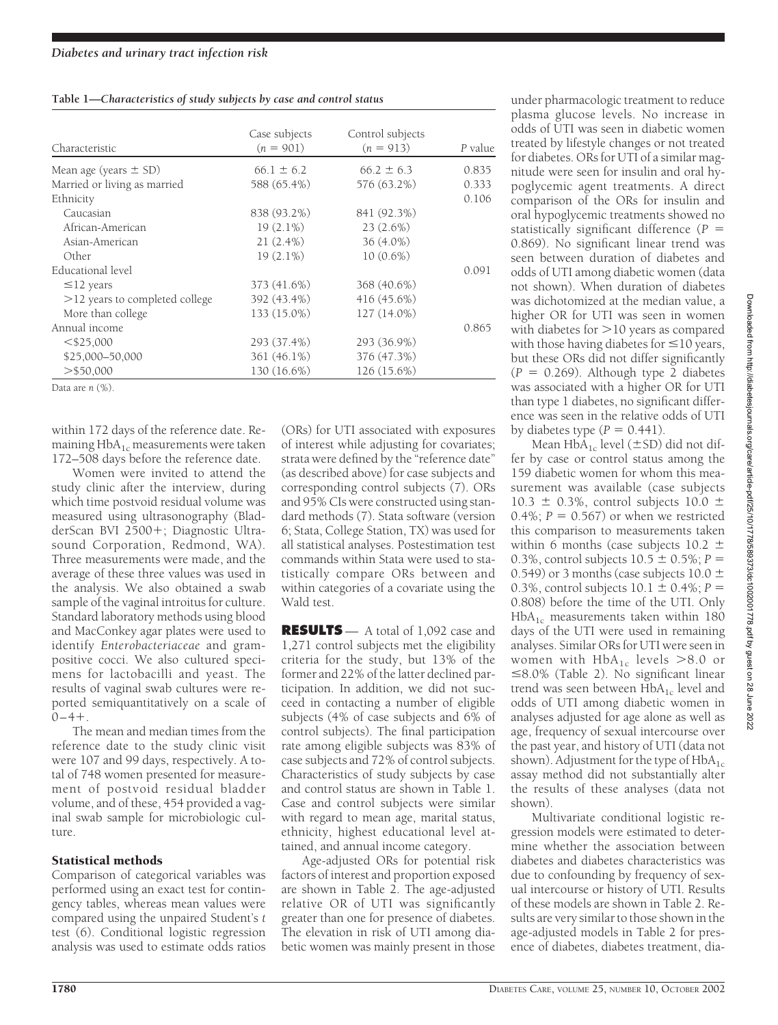| Table 1-Characteristics of study subjects by case and control status |  |  |  |
|----------------------------------------------------------------------|--|--|--|
|                                                                      |  |  |  |
|                                                                      |  |  |  |

| Characteristic                   | $(n = 901)$    | Control subjects<br>$(n = 913)$ | P value |
|----------------------------------|----------------|---------------------------------|---------|
| Mean age (years $\pm$ SD)        | $66.1 \pm 6.2$ | $66.2 \pm 6.3$                  | 0.835   |
| Married or living as married     | 588 (65.4%)    | 576 (63.2%)                     | 0.333   |
| Ethnicity                        |                |                                 | 0.106   |
| Caucasian                        | 838 (93.2%)    | 841 (92.3%)                     |         |
| African-American                 | $19(2.1\%)$    | $23(2.6\%)$                     |         |
| Asian-American                   | $21(2.4\%)$    | $36(4.0\%)$                     |         |
| Other                            | $19(2.1\%)$    | $10(0.6\%)$                     |         |
| Educational level                |                |                                 | 0.091   |
| $\leq$ 12 years                  | 373 (41.6%)    | 368 (40.6%)                     |         |
| $>12$ years to completed college | 392 (43.4%)    | 416 (45.6%)                     |         |
| More than college                | 133 (15.0%)    | 127 (14.0%)                     |         |
| Annual income                    |                |                                 | 0.865   |
| $<$ \$25,000                     | 293 (37.4%)    | 293 (36.9%)                     |         |
| \$25,000-50,000                  | 361 (46.1%)    | 376 (47.3%)                     |         |
| $>$ \$50,000                     | 130 (16.6%)    | 126 (15.6%)                     |         |

Data are *n*  $(\%)$ 

within 172 days of the reference date. Remaining  $HbA_{1c}$  measurements were taken 172–508 days before the reference date.

Women were invited to attend the study clinic after the interview, during which time postvoid residual volume was measured using ultrasonography (BladderScan BVI 2500+; Diagnostic Ultrasound Corporation, Redmond, WA). Three measurements were made, and the average of these three values was used in the analysis. We also obtained a swab sample of the vaginal introitus for culture. Standard laboratory methods using blood and MacConkey agar plates were used to identify *Enterobacteriaceae* and grampositive cocci. We also cultured specimens for lactobacilli and yeast. The results of vaginal swab cultures were reported semiquantitatively on a scale of  $0-4+$ .

The mean and median times from the reference date to the study clinic visit were 107 and 99 days, respectively. A total of 748 women presented for measurement of postvoid residual bladder volume, and of these, 454 provided a vaginal swab sample for microbiologic culture.

# Statistical methods

Comparison of categorical variables was performed using an exact test for contingency tables, whereas mean values were compared using the unpaired Student's *t* test (6). Conditional logistic regression analysis was used to estimate odds ratios

(ORs) for UTI associated with exposures of interest while adjusting for covariates; strata were defined by the "reference date" (as described above) for case subjects and corresponding control subjects (7). ORs and 95% CIs were constructed using standard methods (7). Stata software (version 6; Stata, College Station, TX) was used for all statistical analyses. Postestimation test commands within Stata were used to statistically compare ORs between and within categories of a covariate using the Wald test.

**RESULTS** — A total of 1,092 case and 1,271 control subjects met the eligibility criteria for the study, but 13% of the former and 22% of the latter declined participation. In addition, we did not succeed in contacting a number of eligible subjects (4% of case subjects and 6% of control subjects). The final participation rate among eligible subjects was 83% of case subjects and 72% of control subjects. Characteristics of study subjects by case and control status are shown in Table 1. Case and control subjects were similar with regard to mean age, marital status, ethnicity, highest educational level attained, and annual income category.

Age-adjusted ORs for potential risk factors of interest and proportion exposed are shown in Table 2. The age-adjusted relative OR of UTI was significantly greater than one for presence of diabetes. The elevation in risk of UTI among diabetic women was mainly present in those under pharmacologic treatment to reduce plasma glucose levels. No increase in odds of UTI was seen in diabetic women treated by lifestyle changes or not treated for diabetes. ORs for UTI of a similar magnitude were seen for insulin and oral hypoglycemic agent treatments. A direct comparison of the ORs for insulin and oral hypoglycemic treatments showed no statistically significant difference (*P* 0.869). No significant linear trend was seen between duration of diabetes and odds of UTI among diabetic women (data not shown). When duration of diabetes was dichotomized at the median value, a higher OR for UTI was seen in women with diabetes for  $>$ 10 years as compared with those having diabetes for  $\leq$  10 years, but these ORs did not differ significantly  $(P = 0.269)$ . Although type 2 diabetes was associated with a higher OR for UTI than type 1 diabetes, no significant difference was seen in the relative odds of UTI by diabetes type  $(P = 0.441)$ .

Mean  $HbA_{1c}$  level ( $\pm$ SD) did not differ by case or control status among the 159 diabetic women for whom this measurement was available (case subjects  $10.3 \pm 0.3\%$ , control subjects  $10.0 \pm 0.0\%$ 0.4%;  $P = 0.567$ ) or when we restricted this comparison to measurements taken within 6 months (case subjects  $10.2 \pm$ 0.3%, control subjects  $10.5 \pm 0.5\%$ ;  $P =$ 0.549) or 3 months (case subjects  $10.0 \pm$ 0.3%, control subjects  $10.1 \pm 0.4\%$ ;  $P =$ 0.808) before the time of the UTI. Only  $HbA<sub>1c</sub>$  measurements taken within 180 days of the UTI were used in remaining analyses. Similar ORs for UTI were seen in women with  $HbA_{1c}$  levels  $>8.0$  or ≤8.0% (Table 2). No significant linear trend was seen between  $HbA_{1c}$  level and odds of UTI among diabetic women in analyses adjusted for age alone as well as age, frequency of sexual intercourse over the past year, and history of UTI (data not shown). Adjustment for the type of  $HbA_{1c}$ assay method did not substantially alter the results of these analyses (data not shown).

Multivariate conditional logistic regression models were estimated to determine whether the association between diabetes and diabetes characteristics was due to confounding by frequency of sexual intercourse or history of UTI. Results of these models are shown in Table 2. Results are very similar to those shown in the age-adjusted models in Table 2 for presence of diabetes, diabetes treatment, dia-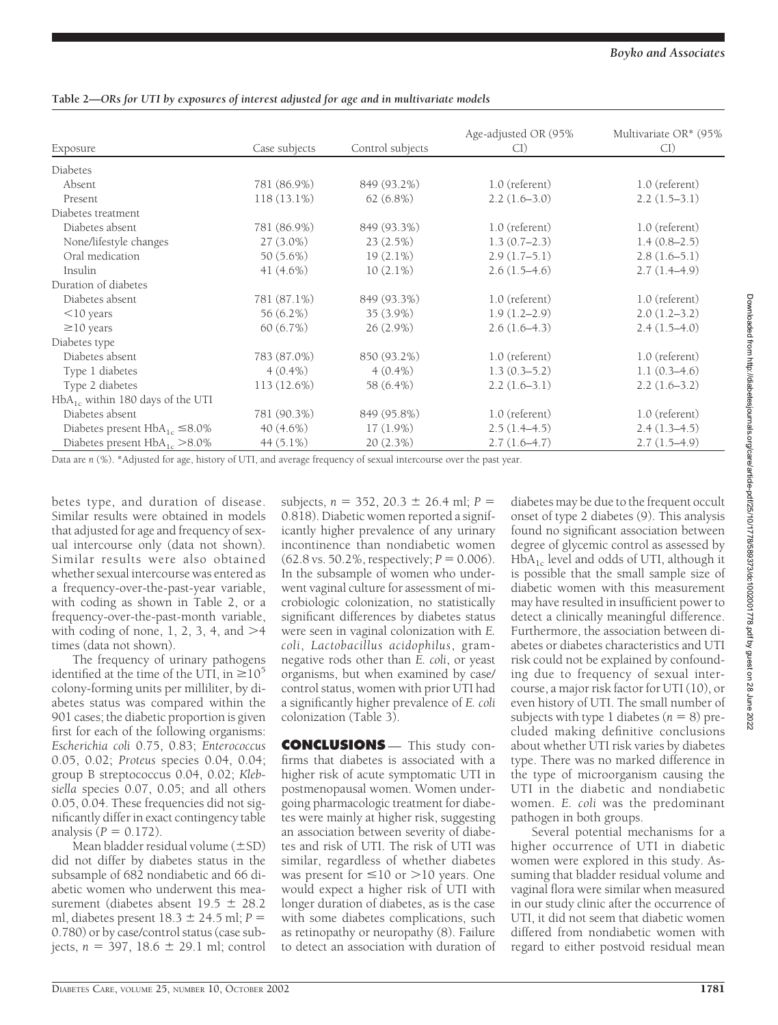|                                        |               |                  | Age-adjusted OR (95%<br>CI) | Multivariate OR* (95%<br>CI) |
|----------------------------------------|---------------|------------------|-----------------------------|------------------------------|
| Exposure                               | Case subjects | Control subjects |                             |                              |
| Diabetes                               |               |                  |                             |                              |
| Absent                                 | 781 (86.9%)   | 849 (93.2%)      | 1.0 (referent)              | 1.0 (referent)               |
| Present                                | 118 (13.1%)   | $62(6.8\%)$      | $2.2(1.6-3.0)$              | $2.2(1.5-3.1)$               |
| Diabetes treatment                     |               |                  |                             |                              |
| Diabetes absent                        | 781 (86.9%)   | 849 (93.3%)      | 1.0 (referent)              | 1.0 (referent)               |
| None/lifestyle changes                 | $27(3.0\%)$   | 23(2.5%)         | $1.3(0.7-2.3)$              | $1.4(0.8-2.5)$               |
| Oral medication                        | $50(5.6\%)$   | $19(2.1\%)$      | $2.9(1.7-5.1)$              | $2.8(1.6-5.1)$               |
| Insulin                                | $41(4.6\%)$   | $10(2.1\%)$      | $2.6(1.5-4.6)$              | $2.7(1.4-4.9)$               |
| Duration of diabetes                   |               |                  |                             |                              |
| Diabetes absent                        | 781 (87.1%)   | 849 (93.3%)      | 1.0 (referent)              | 1.0 (referent)               |
| $<$ 10 years                           | 56 (6.2%)     | 35 (3.9%)        | $1.9(1.2-2.9)$              | $2.0(1.2-3.2)$               |
| $\geq$ 10 years                        | 60(6.7%)      | 26 (2.9%)        | $2.6(1.6-4.3)$              | $2.4(1.5-4.0)$               |
| Diabetes type                          |               |                  |                             |                              |
| Diabetes absent                        | 783 (87.0%)   | 850 (93.2%)      | 1.0 (referent)              | 1.0 (referent)               |
| Type 1 diabetes                        | $4(0.4\%)$    | $4(0.4\%)$       | $1.3(0.3-5.2)$              | $1.1(0.3-4.6)$               |
| Type 2 diabetes                        | 113 (12.6%)   | 58 (6.4%)        | $2.2(1.6-3.1)$              | $2.2(1.6-3.2)$               |
| $HbA_{1c}$ within 180 days of the UTI  |               |                  |                             |                              |
| Diabetes absent                        | 781 (90.3%)   | 849 (95.8%)      | 1.0 (referent)              | 1.0 (referent)               |
| Diabetes present $HbA_{1c} \leq 8.0\%$ | $40(4.6\%)$   | $17(1.9\%)$      | $2.5(1.4-4.5)$              | $2.4(1.3-4.5)$               |
| Diabetes present $HbA_{1c} > 8.0\%$    | $44(5.1\%)$   | 20(2.3%)         | $2.7(1.6-4.7)$              | $2.7(1.5-4.9)$               |

**Table 2—***ORs for UTI by exposures of interest adjusted for age and in multivariate models*

Data are *n* (%). \*Adjusted for age, history of UTI, and average frequency of sexual intercourse over the past year.

betes type, and duration of disease. Similar results were obtained in models that adjusted for age and frequency of sexual intercourse only (data not shown). Similar results were also obtained whether sexual intercourse was entered as a frequency-over-the-past-year variable, with coding as shown in Table 2, or a frequency-over-the-past-month variable, with coding of none, 1, 2, 3, 4, and  $>4$ times (data not shown).

The frequency of urinary pathogens identified at the time of the UTI, in  $\geq 10^5$ colony-forming units per milliliter, by diabetes status was compared within the 901 cases; the diabetic proportion is given first for each of the following organisms: *Escherichia coli* 0.75, 0.83; *Enterococcus* 0.05, 0.02; *Proteus* species 0.04, 0.04; group B streptococcus 0.04, 0.02; *Klebsiella* species 0.07, 0.05; and all others 0.05, 0.04. These frequencies did not significantly differ in exact contingency table analysis  $(P = 0.172)$ .

Mean bladder residual volume  $(\pm SD)$ did not differ by diabetes status in the subsample of 682 nondiabetic and 66 diabetic women who underwent this measurement (diabetes absent  $19.5 \pm 28.2$ ml, diabetes present  $18.3 \pm 24.5$  ml;  $P =$ 0.780) or by case/control status (case subjects,  $n = 397, 18.6 \pm 29.1$  ml; control

subjects,  $n = 352$ ,  $20.3 \pm 26.4$  ml;  $P =$ 0.818). Diabetic women reported a significantly higher prevalence of any urinary incontinence than nondiabetic women  $(62.8 \text{ vs. } 50.2\%$ , respectively;  $P = 0.006$ ). In the subsample of women who underwent vaginal culture for assessment of microbiologic colonization, no statistically significant differences by diabetes status were seen in vaginal colonization with *E. coli*, *Lactobacillus acidophilus*, gramnegative rods other than *E. coli*, or yeast organisms, but when examined by case/ control status, women with prior UTI had a significantly higher prevalence of *E. coli* colonization (Table 3).

**CONCLUSIONS** — This study confirms that diabetes is associated with a higher risk of acute symptomatic UTI in postmenopausal women. Women undergoing pharmacologic treatment for diabetes were mainly at higher risk, suggesting an association between severity of diabetes and risk of UTI. The risk of UTI was similar, regardless of whether diabetes was present for  $\leq 10$  or  $> 10$  years. One would expect a higher risk of UTI with longer duration of diabetes, as is the case with some diabetes complications, such as retinopathy or neuropathy (8). Failure to detect an association with duration of

diabetes may be due to the frequent occult onset of type 2 diabetes (9). This analysis found no significant association between degree of glycemic control as assessed by  $HbA_{1c}$  level and odds of UTI, although it is possible that the small sample size of diabetic women with this measurement may have resulted in insufficient power to detect a clinically meaningful difference. Furthermore, the association between diabetes or diabetes characteristics and UTI risk could not be explained by confounding due to frequency of sexual intercourse, a major risk factor for UTI (10), or even history of UTI. The small number of subjects with type 1 diabetes  $(n = 8)$  precluded making definitive conclusions about whether UTI risk varies by diabetes type. There was no marked difference in the type of microorganism causing the UTI in the diabetic and nondiabetic women. *E. coli* was the predominant pathogen in both groups.

Several potential mechanisms for a higher occurrence of UTI in diabetic women were explored in this study. Assuming that bladder residual volume and vaginal flora were similar when measured in our study clinic after the occurrence of UTI, it did not seem that diabetic women differed from nondiabetic women with regard to either postvoid residual mean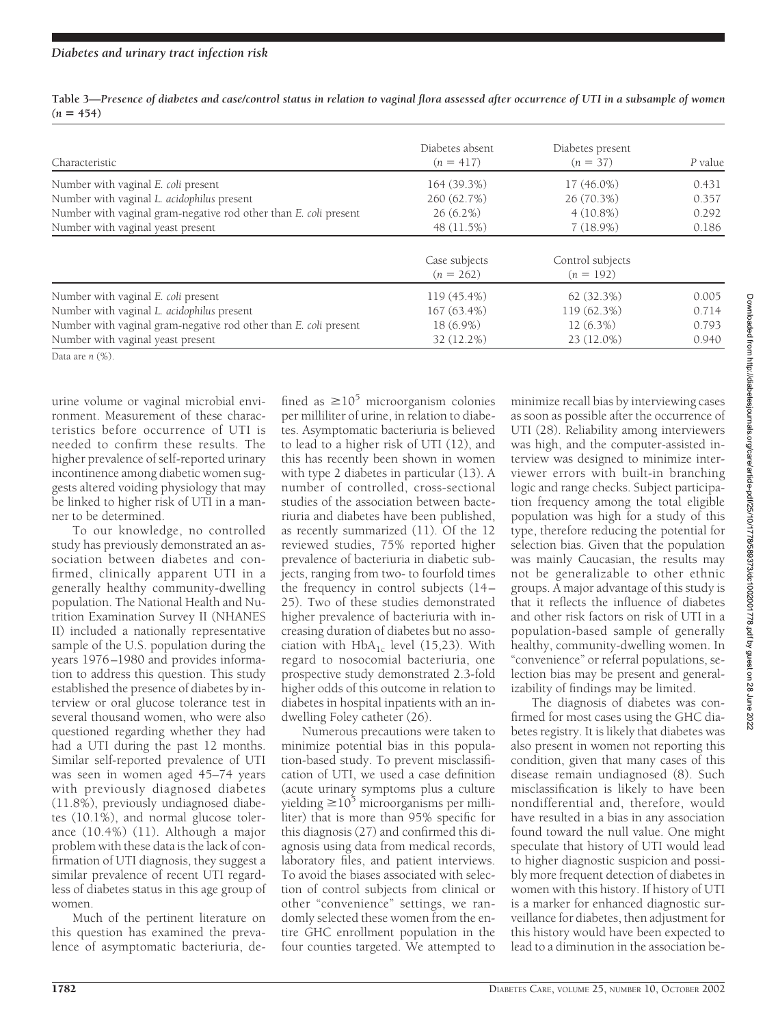| Table 3-Presence of diabetes and case/control status in relation to vaginal flora assessed after occurrence of UTI in a subsample of women |  |
|--------------------------------------------------------------------------------------------------------------------------------------------|--|
| $(n = 454)$                                                                                                                                |  |

| Characteristic                                                   | Diabetes absent<br>$(n = 417)$ | Diabetes present<br>$(n = 37)$  | P value |
|------------------------------------------------------------------|--------------------------------|---------------------------------|---------|
| Number with vaginal E. coli present                              | 164 (39.3%)                    | 17 (46.0%)                      | 0.431   |
| Number with vaginal L. acidophilus present                       | 260 (62.7%)                    | 26 (70.3%)                      | 0.357   |
| Number with vaginal gram-negative rod other than E. coli present | $26(6.2\%)$                    | $4(10.8\%)$                     | 0.292   |
| Number with vaginal yeast present                                | 48 (11.5%)                     | $7(18.9\%)$                     | 0.186   |
|                                                                  | Case subjects<br>$(n = 262)$   | Control subjects<br>$(n = 192)$ |         |
| Number with vaginal E. coli present                              | 119 (45.4%)                    | $62(32.3\%)$                    | 0.005   |
| Number with vaginal L. acidophilus present                       | 167(63.4%)                     | 119 (62.3%)                     | 0.714   |
| Number with vaginal gram-negative rod other than E. coli present | 18 (6.9%)                      | $12(6.3\%)$                     | 0.793   |
| Number with vaginal yeast present                                | $32(12.2\%)$                   | 23 (12.0%)                      | 0.940   |
| Data and $(0/1)$                                                 |                                |                                 |         |

Data are *n* (%).

urine volume or vaginal microbial environment. Measurement of these characteristics before occurrence of UTI is needed to confirm these results. The higher prevalence of self-reported urinary incontinence among diabetic women suggests altered voiding physiology that may be linked to higher risk of UTI in a manner to be determined.

To our knowledge, no controlled study has previously demonstrated an association between diabetes and confirmed, clinically apparent UTI in a generally healthy community-dwelling population. The National Health and Nutrition Examination Survey II (NHANES II) included a nationally representative sample of the U.S. population during the years 1976–1980 and provides information to address this question. This study established the presence of diabetes by interview or oral glucose tolerance test in several thousand women, who were also questioned regarding whether they had had a UTI during the past 12 months. Similar self-reported prevalence of UTI was seen in women aged 45–74 years with previously diagnosed diabetes (11.8%), previously undiagnosed diabetes (10.1%), and normal glucose tolerance (10.4%) (11). Although a major problem with these data is the lack of confirmation of UTI diagnosis, they suggest a similar prevalence of recent UTI regardless of diabetes status in this age group of women.

Much of the pertinent literature on this question has examined the prevalence of asymptomatic bacteriuria, de-

fined as  $\geq 10^5$  microorganism colonies per milliliter of urine, in relation to diabetes. Asymptomatic bacteriuria is believed to lead to a higher risk of UTI (12), and this has recently been shown in women with type 2 diabetes in particular (13). A number of controlled, cross-sectional studies of the association between bacteriuria and diabetes have been published, as recently summarized (11). Of the 12 reviewed studies, 75% reported higher prevalence of bacteriuria in diabetic subjects, ranging from two- to fourfold times the frequency in control subjects (14– 25). Two of these studies demonstrated higher prevalence of bacteriuria with increasing duration of diabetes but no association with  $HbA_{1c}$  level (15,23). With regard to nosocomial bacteriuria, one prospective study demonstrated 2.3-fold higher odds of this outcome in relation to diabetes in hospital inpatients with an indwelling Foley catheter (26).

Numerous precautions were taken to minimize potential bias in this population-based study. To prevent misclassification of UTI, we used a case definition (acute urinary symptoms plus a culture yielding  $\geq 10^5$  microorganisms per milliliter) that is more than 95% specific for this diagnosis (27) and confirmed this diagnosis using data from medical records, laboratory files, and patient interviews. To avoid the biases associated with selection of control subjects from clinical or other "convenience" settings, we randomly selected these women from the entire GHC enrollment population in the four counties targeted. We attempted to minimize recall bias by interviewing cases as soon as possible after the occurrence of UTI (28). Reliability among interviewers was high, and the computer-assisted interview was designed to minimize interviewer errors with built-in branching logic and range checks. Subject participation frequency among the total eligible population was high for a study of this type, therefore reducing the potential for selection bias. Given that the population was mainly Caucasian, the results may not be generalizable to other ethnic groups. A major advantage of this study is that it reflects the influence of diabetes and other risk factors on risk of UTI in a population-based sample of generally healthy, community-dwelling women. In "convenience" or referral populations, selection bias may be present and generalizability of findings may be limited.

The diagnosis of diabetes was confirmed for most cases using the GHC diabetes registry. It is likely that diabetes was also present in women not reporting this condition, given that many cases of this disease remain undiagnosed (8). Such misclassification is likely to have been nondifferential and, therefore, would have resulted in a bias in any association found toward the null value. One might speculate that history of UTI would lead to higher diagnostic suspicion and possibly more frequent detection of diabetes in women with this history. If history of UTI is a marker for enhanced diagnostic surveillance for diabetes, then adjustment for this history would have been expected to lead to a diminution in the association be